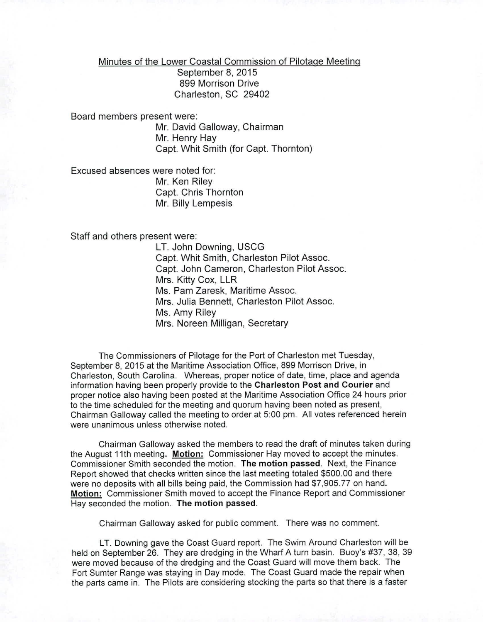Minutes of the Lower Coastal Commission of Pilotage Meeting

September 8, 2015 899 Morrison Drive Charleston, SC 29402

Board members present were: Mr. David Galloway, Chairman Mr. Henry Hay Capt. Whit Smith (for Capt. Thornton)

Excused absences were noted for: Mr. Ken Riley Capt. Chris Thornton Mr. Billy Lempesis

Staff and others present were:

LT. John Downing, USCG Capt. Whit Smith, Charleston Pilot Assoc. Capt. John Cameron, Charleston Pilot Assoc. Mrs. Kitty Cox, LLR Ms. Pam Zaresk, Maritime Assoc. Mrs. Julia Bennett, Charleston Pilot Assoc. Ms. Amy Riley Mrs. Noreen Milligan, Secretary

The Commissioners of Pilotage for the Port of Charleston met Tuesday, September 8, 2015 at the Maritime Association Office, 899 Morrison Drive, in Charleston, South Carolina. Whereas, proper notice of date, time, place and agenda information having been properly provide to the Charleston Post and Courier and proper notice also having been posted at the Maritime Association Office 24 hours prior to the time scheduled for the meeting and quorum having been noted as present, Chairman Galloway called the meeting to order at 5:00 pm. All votes referenced herein were unanimous unless otherwise noted.

Chairman Galloway asked the members to read the draft of minutes taken during the August 11th meeting. Motion: Commissioner Hay moved to accept the minutes. Commissioner Smith seconded the motion. The motion passed. Next, the Finance Report showed that checks written since the last meeting totaled \$500.00 and there were no deposits with all bills being paid, the Commission had \$7,905.77 on hand. Motion: Commissioner Smith moved to accept the Finance Report and Commissioner Hay seconded the motion. The motion passed.

Chairman Galloway asked for public comment. There was no comment.

LT. Downing gave the Coast Guard report. The Swim Around Charleston will be held on September 26. They are dredging in the Wharf A turn basin. Buoy's #37, 38, 39 were moved because of the dredging and the Coast Guard will move them back. The Fort Sumter Range was staying in Day mode. The Coast Guard made the repair when the parts came in. The Pilots are considering stocking the parts so that there is a faster